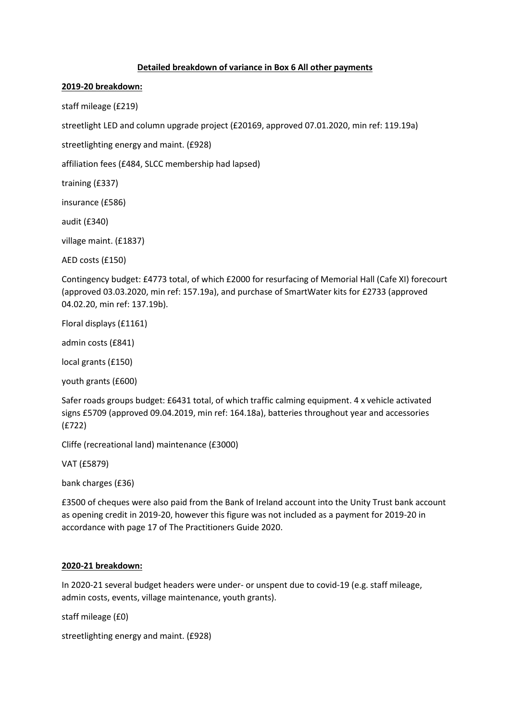## **Detailed breakdown of variance in Box 6 All other payments**

## **2019-20 breakdown:**

staff mileage (£219)

streetlight LED and column upgrade project (£20169, approved 07.01.2020, min ref: 119.19a)

streetlighting energy and maint. (£928)

affiliation fees (£484, SLCC membership had lapsed)

training (£337)

insurance (£586)

audit (£340)

village maint. (£1837)

AED costs (£150)

Contingency budget: £4773 total, of which £2000 for resurfacing of Memorial Hall (Cafe XI) forecourt (approved 03.03.2020, min ref: 157.19a), and purchase of SmartWater kits for £2733 (approved 04.02.20, min ref: 137.19b).

Floral displays (£1161)

admin costs (£841)

local grants (£150)

youth grants (£600)

Safer roads groups budget: £6431 total, of which traffic calming equipment. 4 x vehicle activated signs £5709 (approved 09.04.2019, min ref: 164.18a), batteries throughout year and accessories (£722)

Cliffe (recreational land) maintenance (£3000)

VAT (£5879)

bank charges (£36)

£3500 of cheques were also paid from the Bank of Ireland account into the Unity Trust bank account as opening credit in 2019-20, however this figure was not included as a payment for 2019-20 in accordance with page 17 of The Practitioners Guide 2020.

## **2020-21 breakdown:**

In 2020-21 several budget headers were under- or unspent due to covid-19 (e.g. staff mileage, admin costs, events, village maintenance, youth grants).

staff mileage (£0)

streetlighting energy and maint. (£928)